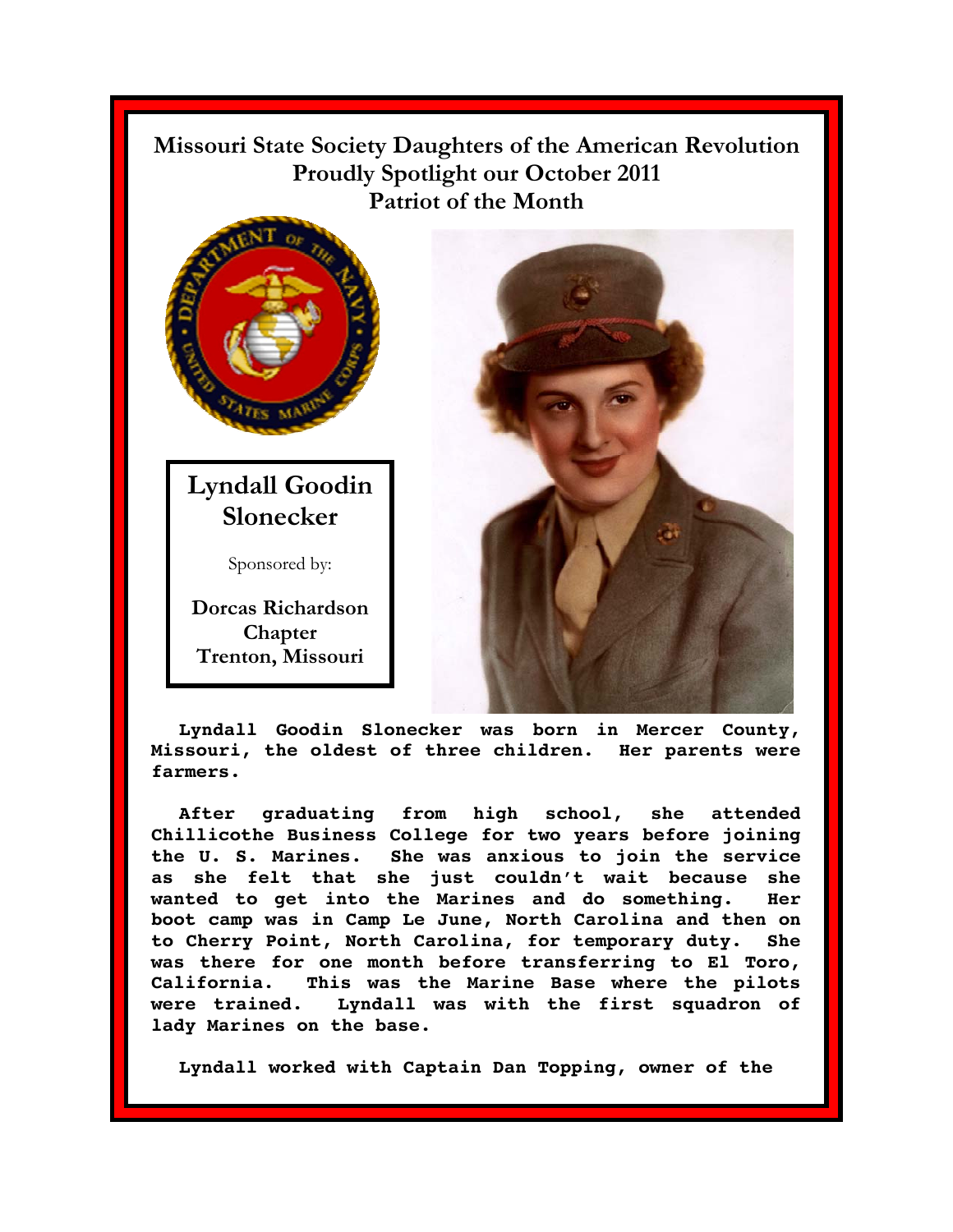## **Missouri State Society Daughters of the American Revolution Proudly Spotlight our October 2011** Patriot of the Month



**Lyndall Goodin Slonecker** 

Sponsored by:

**Dorcas Richardson Chapter Trenton, Missouri** 



**Lyndall Goodin Slonecker was born in Mercer County, Missouri, the oldest of three children. Her parents were farmers.** 

**After graduating from high school, she attended Chillicothe Business College for two years before joining the U. S. Marines. She was anxious to join the service as she felt that she just couldn't wait because she wanted to get into the Marines and do something. Her boot camp was in Camp Le June, North Carolina and then on to Cherry Point, North Carolina, for temporary duty. She was there for one month before transferring to El Toro, California. This was the Marine Base where the pilots were trained. Lyndall was with the first squadron of lady Marines on the base.** 

**Lyndall worked with Captain Dan Topping, owner of the**